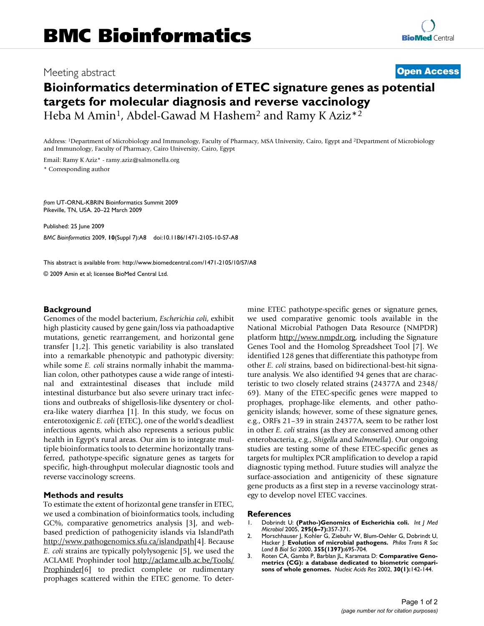## Meeting abstract **[Open Access](http://www.biomedcentral.com/info/about/charter/)**

# **Bioinformatics determination of ETEC signature genes as potential targets for molecular diagnosis and reverse vaccinology** Heba M Amin<sup>1</sup>, Abdel-Gawad M Hashem<sup>2</sup> and Ramy K Aziz<sup>\*2</sup>

Address: 1Department of Microbiology and Immunology, Faculty of Pharmacy, MSA University, Cairo, Egypt and 2Department of Microbiology and Immunology, Faculty of Pharmacy, Cairo University, Cairo, Egypt

Email: Ramy K Aziz\* - ramy.aziz@salmonella.org \* Corresponding author

*from* UT-ORNL-KBRIN Bioinformatics Summit 2009 Pikeville, TN, USA. 20–22 March 2009

Published: 25 June 2009 *BMC Bioinformatics* 2009, **10**(Suppl 7):A8 doi:10.1186/1471-2105-10-S7-A8

[This abstract is available from: http://www.biomedcentral.com/1471-2105/10/S7/A8](http://www.biomedcentral.com/1471-2105/10/S7/A8)

© 2009 Amin et al; licensee BioMed Central Ltd.

### **Background**

Genomes of the model bacterium, *Escherichia coli*, exhibit high plasticity caused by gene gain/loss via pathoadaptive mutations, genetic rearrangement, and horizontal gene transfer [1,2]. This genetic variability is also translated into a remarkable phenotypic and pathotypic diversity: while some *E. coli* strains normally inhabit the mammalian colon, other pathotypes cause a wide range of intestinal and extraintestinal diseases that include mild intestinal disturbance but also severe urinary tract infections and outbreaks of shigellosis-like dysentery or cholera-like watery diarrhea [1]. In this study, we focus on enterotoxigenic *E. coli* (ETEC), one of the world's deadliest infectious agents, which also represents a serious public health in Egypt's rural areas. Our aim is to integrate multiple bioinformatics tools to determine horizontally transferred, pathotype-specific signature genes as targets for specific, high-throughput molecular diagnostic tools and reverse vaccinology screens.

### **Methods and results**

To estimate the extent of horizontal gene transfer in ETEC, we used a combination of bioinformatics tools, including GC%, comparative genometrics analysis [3], and webbased prediction of pathogenicity islands via IslandPath [http://www.pathogenomics.sfu.ca/islandpath\[](http://www.pathogenomics.sfu.ca/islandpath)4]. Because *E. coli* strains are typically polylysogenic [5], we used the ACLAME Prophinder tool [http://aclame.ulb.ac.be/Tools/](http://aclame.ulb.ac.be/Tools/Prophinder) [Prophinder](http://aclame.ulb.ac.be/Tools/Prophinder)[6] to predict complete or rudimentary prophages scattered within the ETEC genome. To determine ETEC pathotype-specific genes or signature genes, we used comparative genomic tools available in the National Microbial Pathogen Data Resource (NMPDR) platform [http://www.nmpdr.org,](http://www.nmpdr.org) including the Signature Genes Tool and the Homolog Spreadsheet Tool [7]. We identified 128 genes that differentiate this pathotype from other *E. coli* strains, based on bidirectional-best-hit signature analysis. We also identified 94 genes that are characteristic to two closely related strains (24377A and 2348/ 69). Many of the ETEC-specific genes were mapped to prophages, prophage-like elements, and other pathogenicity islands; however, some of these signature genes, e.g., ORFs 21–39 in strain 24377A, seem to be rather lost in other *E. coli* strains (as they are conserved among other enterobacteria, e.g., *Shigella* and *Salmonella*). Our ongoing studies are testing some of these ETEC-specific genes as targets for multiplex PCR amplification to develop a rapid diagnostic typing method. Future studies will analyze the surface-association and antigenicity of these signature gene products as a first step in a reverse vaccinology strategy to develop novel ETEC vaccines.

#### **References**

- 1. Dobrindt U: **[\(Patho-\)Genomics of Escherichia coli.](http://www.ncbi.nlm.nih.gov/entrez/query.fcgi?cmd=Retrieve&db=PubMed&dopt=Abstract&list_uids=16238013)** *Int J Med Microbiol* 2005, **295(6–7):**357-371.
- 2. Morschhauser J, Kohler G, Ziebuhr W, Blum-Oehler G, Dobrindt U, Hacker J: **[Evolution of microbial pathogens.](http://www.ncbi.nlm.nih.gov/entrez/query.fcgi?cmd=Retrieve&db=PubMed&dopt=Abstract&list_uids=10874741)** *Philos Trans R Soc Lond B Biol Sci* 2000, **355(1397):**695-704.
- 3. Roten CA, Gamba P, Barblan JL, Karamata D: **[Comparative Geno](http://www.ncbi.nlm.nih.gov/entrez/query.fcgi?cmd=Retrieve&db=PubMed&dopt=Abstract&list_uids=11752276)[metrics \(CG\): a database dedicated to biometric compari](http://www.ncbi.nlm.nih.gov/entrez/query.fcgi?cmd=Retrieve&db=PubMed&dopt=Abstract&list_uids=11752276)[sons of whole genomes.](http://www.ncbi.nlm.nih.gov/entrez/query.fcgi?cmd=Retrieve&db=PubMed&dopt=Abstract&list_uids=11752276)** *Nucleic Acids Res* 2002, **30(1):**142-144.